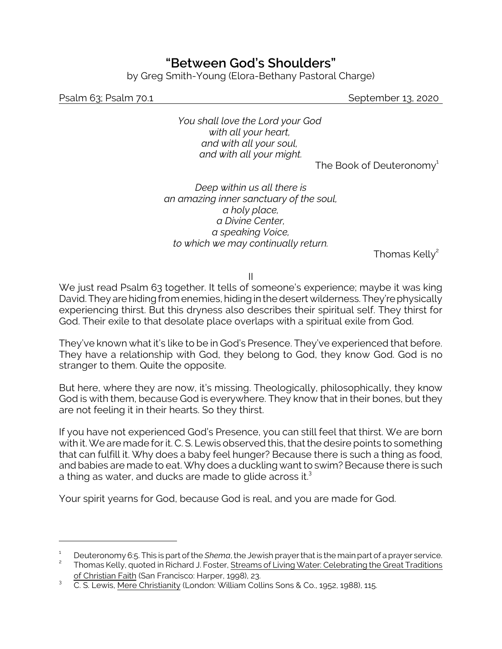## **"Between God's Shoulders"**

by Greg Smith-Young (Elora-Bethany Pastoral Charge)

Psalm 63; Psalm 70.1 September 13, 2020

*You shall love the Lord your God with all your heart, and with all your soul, and with all your might.*

The Book of Deuteronomy $^{\rm 1}$ 

*Deep within us all there is an amazing inner sanctuary of the soul, a holy place, a Divine Center, a speaking Voice, to which we may continually return.*

Thomas Kelly $^2$ 

II

We just read Psalm 63 together. It tells of someone's experience; maybe it was king David. They are hiding from enemies, hiding in the desert wilderness. They're physically experiencing thirst. But this dryness also describes their spiritual self. They thirst for God. Their exile to that desolate place overlaps with a spiritual exile from God.

They've known what it's like to be in God's Presence. They've experienced that before. They have a relationship with God, they belong to God, they know God. God is no stranger to them. Quite the opposite.

But here, where they are now, it's missing. Theologically, philosophically, they know God is with them, because God is everywhere. They know that in their bones, but they are not feeling it in their hearts. So they thirst.

If you have not experienced God's Presence, you can still feel that thirst. We are born with it. We are made for it. C. S. Lewis observed this, that the desire points to something that can fulfill it. Why does a baby feel hunger? Because there is such a thing as food, and babies are made to eat. Why does a duckling want to swim? Because there is such a thing as water, and ducks are made to glide across it. $^3$ 

Your spirit yearns for God, because God is real, and you are made for God.

<sup>1</sup> Deuteronomy 6:5. This is part of the *Shema*, the Jewish prayer that is the main part of a prayer service. 2 Thomas Kelly, quoted in Richard J. Foster, Streams of Living Water: Celebrating the Great Traditions

of Christian Faith (San Francisco: Harper, 1998), 23.

<sup>3</sup> C. S. Lewis, Mere Christianity (London: William Collins Sons & Co., 1952, 1988), 115.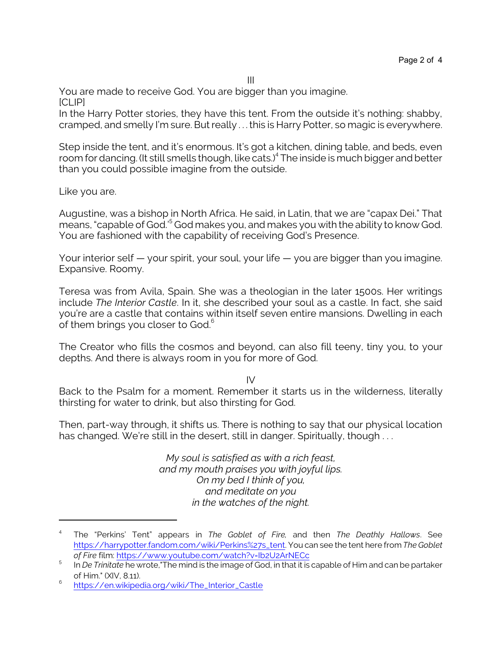You are made to receive God. You are bigger than you imagine. [CLIP]

In the Harry Potter stories, they have this tent. From the outside it's nothing: shabby, cramped, and smelly I'm sure. But really . . . this is Harry Potter, so magic is everywhere.

III

Step inside the tent, and it's enormous. It's got a kitchen, dining table, and beds, even room for dancing. (It still smells though, like cats.)<sup>4</sup> The inside is much bigger and better than you could possible imagine from the outside.

Like you are.

Augustine, was a bishop in North Africa. He said, in Latin, that we are "capax Dei." That means, "capable of God.'<sup>5</sup> God makes you, and makes you with the ability to know God. You are fashioned with the capability of receiving God's Presence.

Your interior self — your spirit, your soul, your life — you are bigger than you imagine. Expansive. Roomy.

Teresa was from Avila, Spain. She was a theologian in the later 1500s. Her writings include *The Interior Castle*. In it, she described your soul as a castle. In fact, she said you're are a castle that contains within itself seven entire mansions. Dwelling in each of them brings you closer to God.<sup>6</sup>

The Creator who fills the cosmos and beyond, can also fill teeny, tiny you, to your depths. And there is always room in you for more of God.

 $IV$ 

Back to the Psalm for a moment. Remember it starts us in the wilderness, literally thirsting for water to drink, but also thirsting for God.

Then, part-way through, it shifts us. There is nothing to say that our physical location has changed. We're still in the desert, still in danger. Spiritually, though ...

> *My soul is satisfied as with a rich feast, and my mouth praises you with joyful lips. On my bed I think of you, and meditate on you in the watches of the night.*

<sup>4</sup> The "Perkins' Tent" appears in *The Goblet of Fire,* and then *The Deathly Hallows*. See [https://harrypotter.fandom.com/wiki/Perkins%27s\\_tent](https://harrypotter.fandom.com/wiki/Perkins%27s_tent). You can see the tent here from *The Goblet of Fire* film:<https://www.youtube.com/watch?v=Ib2U2ArNECc>

<sup>5</sup> In *De Trinitate* he wrote,"The mind is the image of God, in that it is capable of Him and can be partaker of Him." (XIV, 8.11).

<sup>6</sup> [https://en.wikipedia.org/wiki/The\\_Interior\\_Castle](https://en.wikipedia.org/wiki/The_Interior_Castle)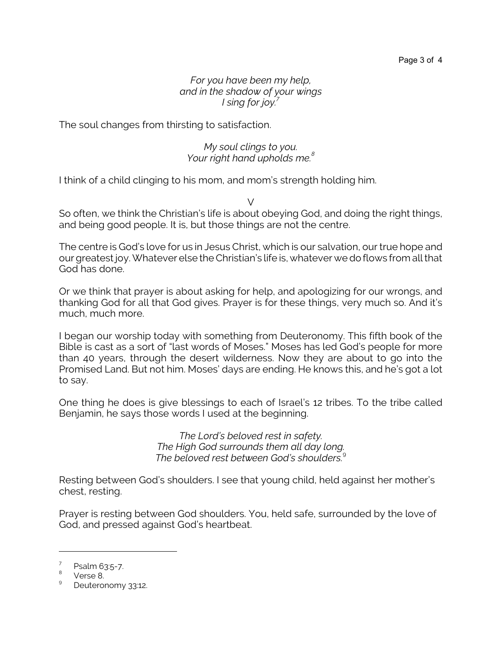*For you have been my help, and in the shadow of your wings I sing for joy.<sup>7</sup>*

The soul changes from thirsting to satisfaction.

## *My soul clings to you. Your right hand upholds me.<sup>8</sup>*

I think of a child clinging to his mom, and mom's strength holding him.

So often, we think the Christian's life is about obeying God, and doing the right things, and being good people. It is, but those things are not the centre.

 $\sqrt{}$ 

The centre is God's love for us in Jesus Christ, which is our salvation, our true hope and our greatest joy. Whatever else the Christian's life is, whatever we do flows from all that God has done.

Or we think that prayer is about asking for help, and apologizing for our wrongs, and thanking God for all that God gives. Prayer is for these things, very much so. And it's much, much more.

I began our worship today with something from Deuteronomy. This fifth book of the Bible is cast as a sort of "last words of Moses." Moses has led God's people for more than 40 years, through the desert wilderness. Now they are about to go into the Promised Land. But not him. Moses' days are ending. He knows this, and he's got a lot to say.

One thing he does is give blessings to each of Israel's 12 tribes. To the tribe called Benjamin, he says those words I used at the beginning.

> *The Lord's beloved rest in safety. The High God surrounds them all day long. The beloved rest between God's shoulders.*<sup>9</sup>

Resting between God's shoulders. I see that young child, held against her mother's chest, resting.

Prayer is resting between God shoulders. You, held safe, surrounded by the love of God, and pressed against God's heartbeat.

<sup>7</sup> Psalm 63:5-7.

<sup>&</sup>lt;sup>8</sup> Verse 8.

<sup>9</sup> Deuteronomy 33:12.